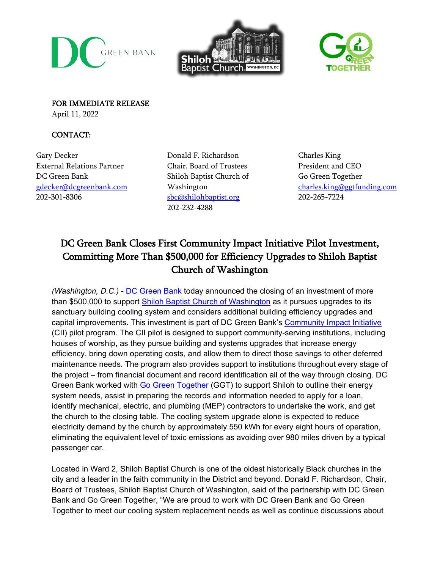





FOR IMMEDIATE RELEASE April 11, 2022

## CONTACT:

Gary Decker External Relations Partner DC Green Bank [gdecker@dcgreenbank.com](mailto:gdecker@dcgreenbank.com) 202-301-8306

Donald F. Richardson Chair, Board of Trustees Shiloh Baptist Church of Washington [sbc@shilohbaptist.org](mailto:sbc@shilohbaptist.org) 202-232-4288

Charles King President and CEO Go Green Together [charles.king@ggtfunding.com](mailto:charles.king@ggtfunding.com) 202-265-7224

# DC Green Bank Closes First Community Impact Initiative Pilot Investment, Committing More Than \$500,000 for Efficiency Upgrades to Shiloh Baptist Church of Washington

*(Washington, D.C.)* - [DC Green Bank](https://dcgreenbank.com/) today announced the closing of an investment of more than \$500,000 to support [Shiloh Baptist Church of Washington](https://shilohbaptist.org/) as it pursues upgrades to its sanctuary building cooling system and considers additional building efficiency upgrades and capital improvements. This investment is part of DC Green Bank's [Community Impact Initiative](https://dcgreenbank.com/program/community/) (CII) pilot program. The CII pilot is designed to support community-serving institutions, including houses of worship, as they pursue building and systems upgrades that increase energy efficiency, bring down operating costs, and allow them to direct those savings to other deferred maintenance needs. The program also provides support to institutions throughout every stage of the project – from financial document and record identification all of the way through closing. DC Green Bank worked with [Go Green Together](http://www.gogreentogether.com/) (GGT) to support Shiloh to outline their energy system needs, assist in preparing the records and information needed to apply for a loan, identify mechanical, electric, and plumbing (MEP) contractors to undertake the work, and get the church to the closing table. The cooling system upgrade alone is expected to reduce electricity demand by the church by approximately 550 kWh for every eight hours of operation, eliminating the equivalent level of toxic emissions as avoiding over 980 miles driven by a typical passenger car.

Located in Ward 2, Shiloh Baptist Church is one of the oldest historically Black churches in the city and a leader in the faith community in the District and beyond. Donald F. Richardson, Chair, Board of Trustees, Shiloh Baptist Church of Washington, said of the partnership with DC Green Bank and Go Green Together, "We are proud to work with DC Green Bank and Go Green Together to meet our cooling system replacement needs as well as continue discussions about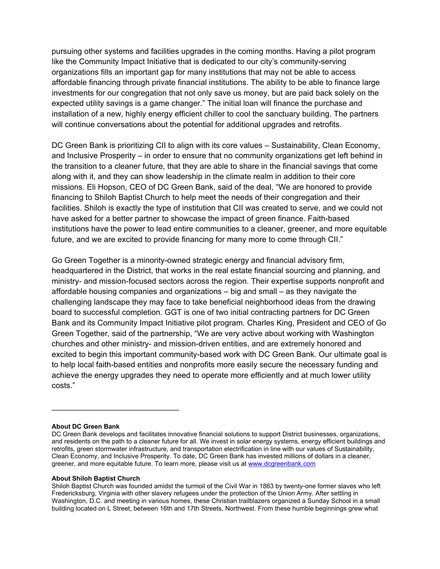pursuing other systems and facilities upgrades in the coming months. Having a pilot program like the Community Impact Initiative that is dedicated to our city's community-serving organizations fills an important gap for many institutions that may not be able to access affordable financing through private financial institutions. The ability to be able to finance large investments for our congregation that not only save us money, but are paid back solely on the expected utility savings is a game changer." The initial loan will finance the purchase and installation of a new, highly energy efficient chiller to cool the sanctuary building. The partners will continue conversations about the potential for additional upgrades and retrofits.

DC Green Bank is prioritizing CII to align with its core values – Sustainability, Clean Economy, and Inclusive Prosperity – in order to ensure that no community organizations get left behind in the transition to a cleaner future, that they are able to share in the financial savings that come along with it, and they can show leadership in the climate realm in addition to their core missions. Eli Hopson, CEO of DC Green Bank, said of the deal, "We are honored to provide financing to Shiloh Baptist Church to help meet the needs of their congregation and their facilities. Shiloh is exactly the type of institution that CII was created to serve, and we could not have asked for a better partner to showcase the impact of green finance. Faith-based institutions have the power to lead entire communities to a cleaner, greener, and more equitable future, and we are excited to provide financing for many more to come through CII."

Go Green Together is a minority-owned strategic energy and financial advisory firm, headquartered in the District, that works in the real estate financial sourcing and planning, and ministry- and mission-focused sectors across the region. Their expertise supports nonprofit and affordable housing companies and organizations – big and small – as they navigate the challenging landscape they may face to take beneficial neighborhood ideas from the drawing board to successful completion. GGT is one of two initial contracting partners for DC Green Bank and its Community Impact Initiative pilot program. Charles King, President and CEO of Go Green Together, said of the partnership, "We are very active about working with Washington churches and other ministry- and mission-driven entities, and are extremely honored and excited to begin this important community-based work with DC Green Bank. Our ultimate goal is to help local faith-based entities and nonprofits more easily secure the necessary funding and achieve the energy upgrades they need to operate more efficiently and at much lower utility costs."

### **About DC Green Bank**

#### **About Shiloh Baptist Church**

 $\overline{\phantom{a}}$  , where  $\overline{\phantom{a}}$  , where  $\overline{\phantom{a}}$  , where  $\overline{\phantom{a}}$ 

DC Green Bank develops and facilitates innovative financial solutions to support District businesses, organizations, and residents on the path to a cleaner future for all. We invest in solar energy systems, energy efficient buildings and retrofits, green stormwater infrastructure, and transportation electrification in line with our values of Sustainability, Clean Economy, and Inclusive Prosperity. To date, DC Green Bank has invested millions of dollars in a cleaner, greener, and more equitable future. To learn more, please visit us a[t www.dcgreenbank.com](http://www.dcgreenbank.com/)

Shiloh Baptist Church was founded amidst the turmoil of the Civil War in 1863 by twenty-one former slaves who left Fredericksburg, Virginia with other slavery refugees under the protection of the Union Army. After settling in Washington, D.C. and meeting in various homes, these Christian trailblazers organized a Sunday School in a small building located on L Street, between 16th and 17th Streets, Northwest. From these humble beginnings grew what